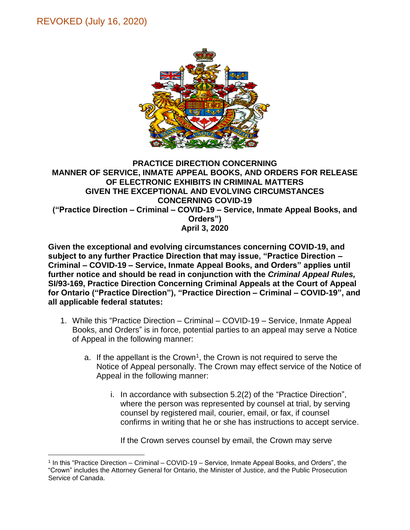## REVOKED (July 16, 2020)

 $\overline{a}$ 



## **PRACTICE DIRECTION CONCERNING MANNER OF SERVICE, INMATE APPEAL BOOKS, AND ORDERS FOR RELEASE OF ELECTRONIC EXHIBITS IN CRIMINAL MATTERS GIVEN THE EXCEPTIONAL AND EVOLVING CIRCUMSTANCES CONCERNING COVID-19 ("Practice Direction – Criminal – COVID-19 – Service, Inmate Appeal Books, and Orders") April 3, 2020**

**Given the exceptional and evolving circumstances concerning COVID-19, and subject to any further Practice Direction that may issue, "Practice Direction – Criminal – COVID-19 – Service, Inmate Appeal Books, and Orders" applies until further notice and should be read in conjunction with the** *Criminal Appeal Rules,*  **SI/93-169, Practice Direction Concerning Criminal Appeals at the Court of Appeal for Ontario ("Practice Direction"), "Practice Direction – Criminal – COVID-19", and all applicable federal statutes:** 

- 1. While this "Practice Direction Criminal COVID-19 Service, Inmate Appeal Books, and Orders" is in force, potential parties to an appeal may serve a Notice of Appeal in the following manner:
	- a. If the appellant is the Crown<sup>1</sup>, the Crown is not required to serve the Notice of Appeal personally. The Crown may effect service of the Notice of Appeal in the following manner:
		- i. In accordance with subsection 5.2(2) of the "Practice Direction", where the person was represented by counsel at trial, by serving counsel by registered mail, courier, email, or fax, if counsel confirms in writing that he or she has instructions to accept service.

If the Crown serves counsel by email, the Crown may serve

<sup>1</sup> In this "Practice Direction – Criminal – COVID-19 – Service, Inmate Appeal Books, and Orders", the "Crown" includes the Attorney General for Ontario, the Minister of Justice, and the Public Prosecution Service of Canada.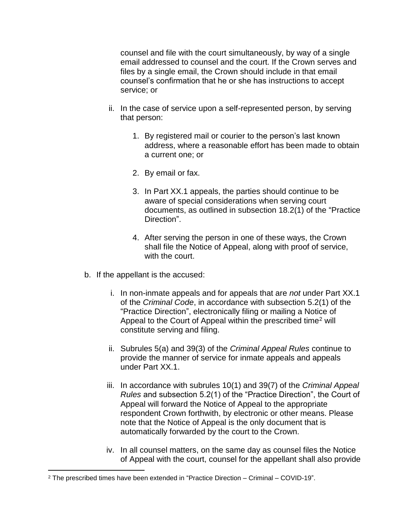counsel and file with the court simultaneously, by way of a single email addressed to counsel and the court. If the Crown serves and files by a single email, the Crown should include in that email counsel's confirmation that he or she has instructions to accept service; or

- ii. In the case of service upon a self-represented person, by serving that person:
	- 1. By registered mail or courier to the person's last known address, where a reasonable effort has been made to obtain a current one; or
	- 2. By email or fax.
	- 3. In Part XX.1 appeals, the parties should continue to be aware of special considerations when serving court documents, as outlined in subsection 18.2(1) of the "Practice Direction".
	- 4. After serving the person in one of these ways, the Crown shall file the Notice of Appeal, along with proof of service, with the court.
- b. If the appellant is the accused:
	- i. In non-inmate appeals and for appeals that are *not* under Part XX.1 of the *Criminal Code*, in accordance with subsection 5.2(1) of the "Practice Direction", electronically filing or mailing a Notice of Appeal to the Court of Appeal within the prescribed time<sup>2</sup> will constitute serving and filing.
	- ii. Subrules 5(a) and 39(3) of the *Criminal Appeal Rules* continue to provide the manner of service for inmate appeals and appeals under Part XX.1.
	- iii. In accordance with subrules 10(1) and 39(7) of the *Criminal Appeal Rules* and subsection 5.2(1) of the "Practice Direction", the Court of Appeal will forward the Notice of Appeal to the appropriate respondent Crown forthwith, by electronic or other means. Please note that the Notice of Appeal is the only document that is automatically forwarded by the court to the Crown.
	- iv. In all counsel matters, on the same day as counsel files the Notice of Appeal with the court, counsel for the appellant shall also provide

 $\overline{a}$ 

<sup>2</sup> The prescribed times have been extended in "Practice Direction – Criminal – COVID-19".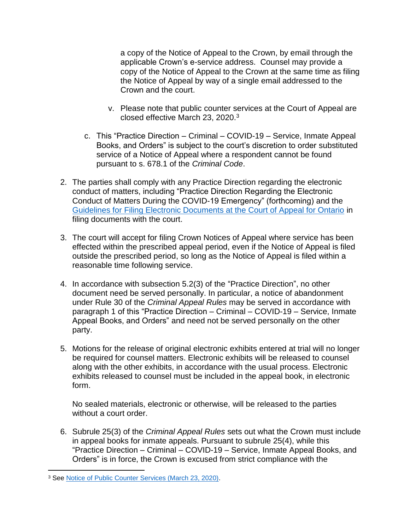a copy of the Notice of Appeal to the Crown, by email through the applicable Crown's e-service address. Counsel may provide a copy of the Notice of Appeal to the Crown at the same time as filing the Notice of Appeal by way of a single email addressed to the Crown and the court.

- v. Please note that public counter services at the Court of Appeal are closed effective March 23, 2020.<sup>3</sup>
- c. This "Practice Direction Criminal COVID-19 Service, Inmate Appeal Books, and Orders" is subject to the court's discretion to order substituted service of a Notice of Appeal where a respondent cannot be found pursuant to s. 678.1 of the *Criminal Code*.
- 2. The parties shall comply with any Practice Direction regarding the electronic conduct of matters, including "Practice Direction Regarding the Electronic Conduct of Matters During the COVID-19 Emergency" (forthcoming) and the [Guidelines for Filing Electronic Documents at the Court of Appeal for Ontario](https://www.ontariocourts.ca/coa/en/notices/pd/electronic-filing.htm) in filing documents with the court.
- 3. The court will accept for filing Crown Notices of Appeal where service has been effected within the prescribed appeal period, even if the Notice of Appeal is filed outside the prescribed period, so long as the Notice of Appeal is filed within a reasonable time following service.
- 4. In accordance with subsection 5.2(3) of the "Practice Direction", no other document need be served personally. In particular, a notice of abandonment under Rule 30 of the *Criminal Appeal Rules* may be served in accordance with paragraph 1 of this "Practice Direction – Criminal – COVID-19 – Service, Inmate Appeal Books, and Orders" and need not be served personally on the other party.
- 5. Motions for the release of original electronic exhibits entered at trial will no longer be required for counsel matters. Electronic exhibits will be released to counsel along with the other exhibits, in accordance with the usual process. Electronic exhibits released to counsel must be included in the appeal book, in electronic form.

No sealed materials, electronic or otherwise, will be released to the parties without a court order.

6. Subrule 25(3) of the *Criminal Appeal Rules* sets out what the Crown must include in appeal books for inmate appeals. Pursuant to subrule 25(4), while this "Practice Direction – Criminal – COVID-19 – Service, Inmate Appeal Books, and Orders" is in force, the Crown is excused from strict compliance with the

 $\overline{a}$ <sup>3</sup> See [Notice of Public Counter Services \(March 23, 2020\).](https://www.ontariocourts.ca/coa/en/notices/covid-19/public-counter.htm)